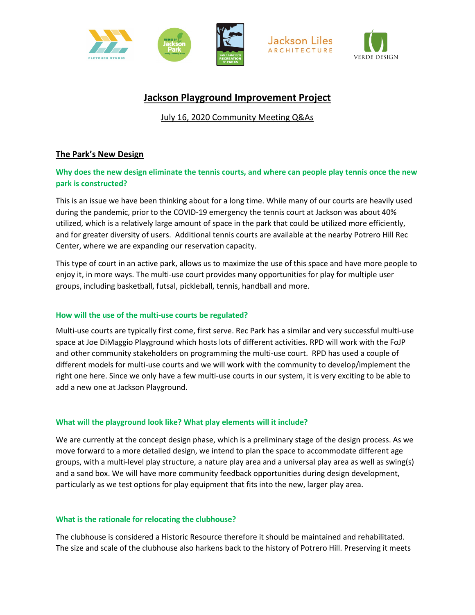





# **Jackson Playground Improvement Project**

July 16, 2020 Community Meeting Q&As

# **The Park's New Design**

# **Why does the new design eliminate the tennis courts, and where can people play tennis once the new park is constructed?**

This is an issue we have been thinking about for a long time. While many of our courts are heavily used during the pandemic, prior to the COVID-19 emergency the tennis court at Jackson was about 40% utilized, which is a relatively large amount of space in the park that could be utilized more efficiently, and for greater diversity of users. Additional tennis courts are available at the nearby Potrero Hill Rec Center, where we are expanding our reservation capacity.

This type of court in an active park, allows us to maximize the use of this space and have more people to enjoy it, in more ways. The multi-use court provides many opportunities for play for multiple user groups, including basketball, futsal, pickleball, tennis, handball and more.

# **How will the use of the multi-use courts be regulated?**

Multi-use courts are typically first come, first serve. Rec Park has a similar and very successful multi-use space at Joe DiMaggio Playground which hosts lots of different activities. RPD will work with the FoJP and other community stakeholders on programming the multi-use court. RPD has used a couple of different models for multi-use courts and we will work with the community to develop/implement the right one here. Since we only have a few multi-use courts in our system, it is very exciting to be able to add a new one at Jackson Playground.

# **What will the playground look like? What play elements will it include?**

We are currently at the concept design phase, which is a preliminary stage of the design process. As we move forward to a more detailed design, we intend to plan the space to accommodate different age groups, with a multi-level play structure, a nature play area and a universal play area as well as swing(s) and a sand box. We will have more community feedback opportunities during design development, particularly as we test options for play equipment that fits into the new, larger play area.

# **What is the rationale for relocating the clubhouse?**

The clubhouse is considered a Historic Resource therefore it should be maintained and rehabilitated. The size and scale of the clubhouse also harkens back to the history of Potrero Hill. Preserving it meets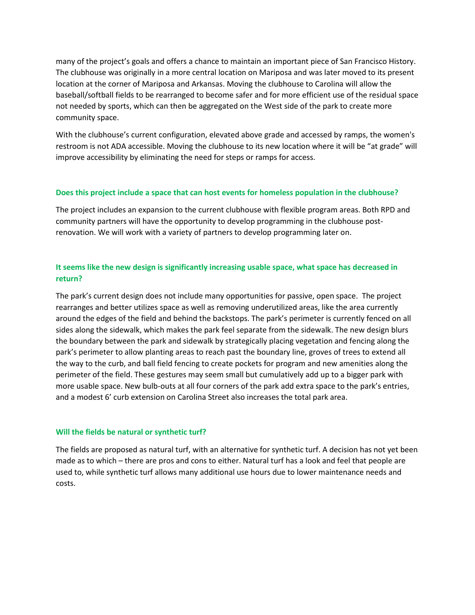many of the project's goals and offers a chance to maintain an important piece of San Francisco History. The clubhouse was originally in a more central location on Mariposa and was later moved to its present location at the corner of Mariposa and Arkansas. Moving the clubhouse to Carolina will allow the baseball/softball fields to be rearranged to become safer and for more efficient use of the residual space not needed by sports, which can then be aggregated on the West side of the park to create more community space.

With the clubhouse's current configuration, elevated above grade and accessed by ramps, the women's restroom is not ADA accessible. Moving the clubhouse to its new location where it will be "at grade" will improve accessibility by eliminating the need for steps or ramps for access.

### **Does this project include a space that can host events for homeless population in the clubhouse?**

The project includes an expansion to the current clubhouse with flexible program areas. Both RPD and community partners will have the opportunity to develop programming in the clubhouse postrenovation. We will work with a variety of partners to develop programming later on.

### **It seems like the new design is significantly increasing usable space, what space has decreased in return?**

The park's current design does not include many opportunities for passive, open space. The project rearranges and better utilizes space as well as removing underutilized areas, like the area currently around the edges of the field and behind the backstops. The park's perimeter is currently fenced on all sides along the sidewalk, which makes the park feel separate from the sidewalk. The new design blurs the boundary between the park and sidewalk by strategically placing vegetation and fencing along the park's perimeter to allow planting areas to reach past the boundary line, groves of trees to extend all the way to the curb, and ball field fencing to create pockets for program and new amenities along the perimeter of the field. These gestures may seem small but cumulatively add up to a bigger park with more usable space. New bulb-outs at all four corners of the park add extra space to the park's entries, and a modest 6' curb extension on Carolina Street also increases the total park area.

### **Will the fields be natural or synthetic turf?**

The fields are proposed as natural turf, with an alternative for synthetic turf. A decision has not yet been made as to which – there are pros and cons to either. Natural turf has a look and feel that people are used to, while synthetic turf allows many additional use hours due to lower maintenance needs and costs.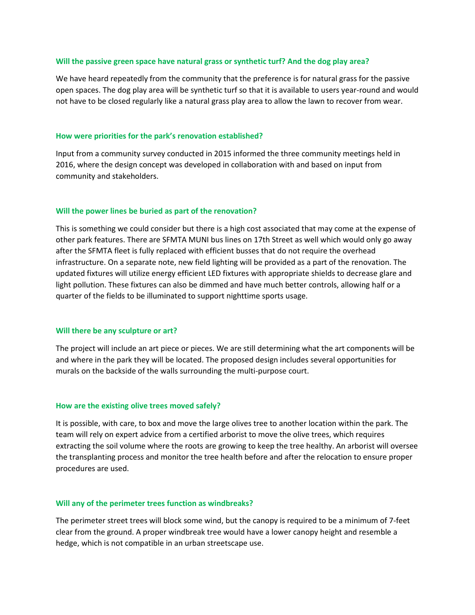#### **Will the passive green space have natural grass or synthetic turf? And the dog play area?**

We have heard repeatedly from the community that the preference is for natural grass for the passive open spaces. The dog play area will be synthetic turf so that it is available to users year-round and would not have to be closed regularly like a natural grass play area to allow the lawn to recover from wear.

#### **How were priorities for the park's renovation established?**

Input from a community survey conducted in 2015 informed the three community meetings held in 2016, where the design concept was developed in collaboration with and based on input from community and stakeholders.

#### **Will the power lines be buried as part of the renovation?**

This is something we could consider but there is a high cost associated that may come at the expense of other park features. There are SFMTA MUNI bus lines on 17th Street as well which would only go away after the SFMTA fleet is fully replaced with efficient busses that do not require the overhead infrastructure. On a separate note, new field lighting will be provided as a part of the renovation. The updated fixtures will utilize energy efficient LED fixtures with appropriate shields to decrease glare and light pollution. These fixtures can also be dimmed and have much better controls, allowing half or a quarter of the fields to be illuminated to support nighttime sports usage.

#### **Will there be any sculpture or art?**

The project will include an art piece or pieces. We are still determining what the art components will be and where in the park they will be located. The proposed design includes several opportunities for murals on the backside of the walls surrounding the multi-purpose court.

#### **How are the existing olive trees moved safely?**

It is possible, with care, to box and move the large olives tree to another location within the park. The team will rely on expert advice from a certified arborist to move the olive trees, which requires extracting the soil volume where the roots are growing to keep the tree healthy. An arborist will oversee the transplanting process and monitor the tree health before and after the relocation to ensure proper procedures are used.

#### **Will any of the perimeter trees function as windbreaks?**

The perimeter street trees will block some wind, but the canopy is required to be a minimum of 7-feet clear from the ground. A proper windbreak tree would have a lower canopy height and resemble a hedge, which is not compatible in an urban streetscape use.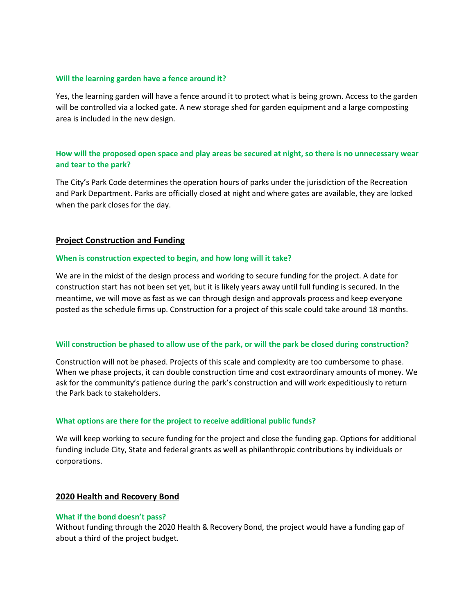### **Will the learning garden have a fence around it?**

Yes, the learning garden will have a fence around it to protect what is being grown. Access to the garden will be controlled via a locked gate. A new storage shed for garden equipment and a large composting area is included in the new design.

### **How will the proposed open space and play areas be secured at night, so there is no unnecessary wear and tear to the park?**

The City's Park Code determines the operation hours of parks under the jurisdiction of the Recreation and Park Department. Parks are officially closed at night and where gates are available, they are locked when the park closes for the day.

### **Project Construction and Funding**

#### **When is construction expected to begin, and how long will it take?**

We are in the midst of the design process and working to secure funding for the project. A date for construction start has not been set yet, but it is likely years away until full funding is secured. In the meantime, we will move as fast as we can through design and approvals process and keep everyone posted as the schedule firms up. Construction for a project of this scale could take around 18 months.

#### **Will construction be phased to allow use of the park, or will the park be closed during construction?**

Construction will not be phased. Projects of this scale and complexity are too cumbersome to phase. When we phase projects, it can double construction time and cost extraordinary amounts of money. We ask for the community's patience during the park's construction and will work expeditiously to return the Park back to stakeholders.

#### **What options are there for the project to receive additional public funds?**

We will keep working to secure funding for the project and close the funding gap. Options for additional funding include City, State and federal grants as well as philanthropic contributions by individuals or corporations.

#### **2020 Health and Recovery Bond**

#### **What if the bond doesn't pass?**

Without funding through the 2020 Health & Recovery Bond, the project would have a funding gap of about a third of the project budget.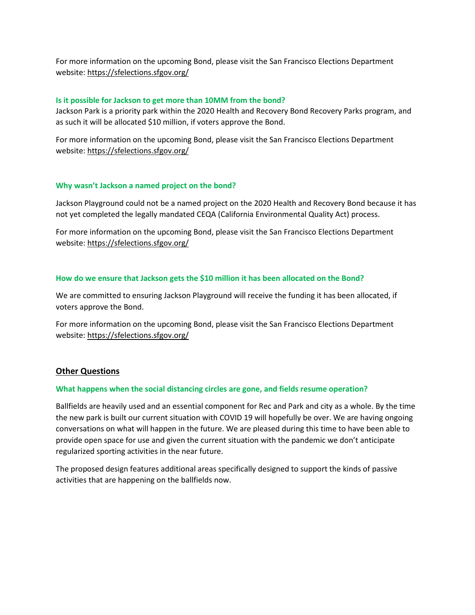For more information on the upcoming Bond, please visit the San Francisco Elections Department website[: https://sfelections.sfgov.org/](https://sfelections.sfgov.org/)

### **Is it possible for Jackson to get more than 10MM from the bond?**

Jackson Park is a priority park within the 2020 Health and Recovery Bond Recovery Parks program, and as such it will be allocated \$10 million, if voters approve the Bond.

For more information on the upcoming Bond, please visit the San Francisco Elections Department website[: https://sfelections.sfgov.org/](https://sfelections.sfgov.org/)

### **Why wasn't Jackson a named project on the bond?**

Jackson Playground could not be a named project on the 2020 Health and Recovery Bond because it has not yet completed the legally mandated CEQA (California Environmental Quality Act) process.

For more information on the upcoming Bond, please visit the San Francisco Elections Department website[: https://sfelections.sfgov.org/](https://sfelections.sfgov.org/)

### **How do we ensure that Jackson gets the \$10 million it has been allocated on the Bond?**

We are committed to ensuring Jackson Playground will receive the funding it has been allocated, if voters approve the Bond.

For more information on the upcoming Bond, please visit the San Francisco Elections Department website[: https://sfelections.sfgov.org/](https://sfelections.sfgov.org/)

### **Other Questions**

#### **What happens when the social distancing circles are gone, and fields resume operation?**

Ballfields are heavily used and an essential component for Rec and Park and city as a whole. By the time the new park is built our current situation with COVID 19 will hopefully be over. We are having ongoing conversations on what will happen in the future. We are pleased during this time to have been able to provide open space for use and given the current situation with the pandemic we don't anticipate regularized sporting activities in the near future.

The proposed design features additional areas specifically designed to support the kinds of passive activities that are happening on the ballfields now.